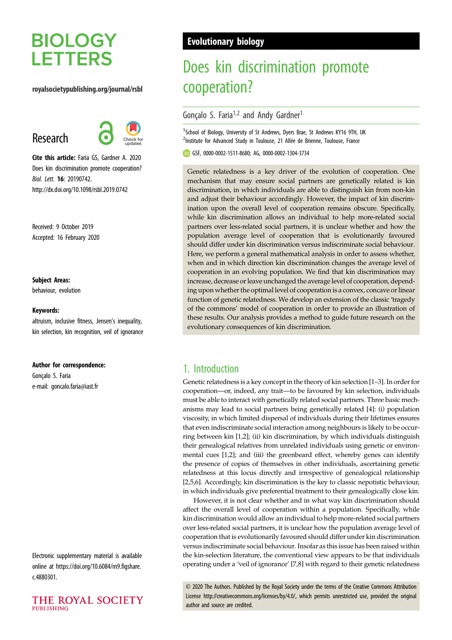# **BIOLOGY LETTERS**

### royalsocietypublishing.org/journal/rsbl

# Research



Cite this article: Faria GS, Gardner A. 2020 Does kin discrimination promote cooperation? Biol. Lett. 16: 20190742. http://dx.doi.org/10.1098/rsbl.2019.0742

Received: 9 October 2019 Accepted: 16 February 2020

### Subject Areas:

behaviour, evolution

### Keywords:

altruism, inclusive fitness, Jensen's inequality, kin selection, kin recognition, veil of ignorance

#### Author for correspondence:

Gonçalo S. Faria e-mail: [goncalo.faria@iast.fr](mailto:goncalo.faria@iast.fr)

Electronic supplementary material is available online at [https://doi.org/10.6084/m9.figshare.](https://doi.org/10.6084/m9.figshare.c.4880301) [c.4880301.](https://doi.org/10.6084/m9.figshare.c.4880301)



# Evolutionary biology

# Does kin discrimination promote cooperation?

# Gonçalo S. Faria<sup>1,2</sup> and Andy Gardner<sup>1</sup>

<sup>1</sup>School of Biology, University of St Andrews, Dyers Brae, St Andrews KY16 9TH, UK <sup>2</sup>Institute for Advanced Study in Toulouse, 21 Allée de Brienne, Toulouse, France

GSF, [0000-0002-1511-8680](http://orcid.org/0000-0002-1511-8680); AG, [0000-0002-1304-3734](http://orcid.org/0000-0002-1304-3734)

Genetic relatedness is a key driver of the evolution of cooperation. One mechanism that may ensure social partners are genetically related is kin discrimination, in which individuals are able to distinguish kin from non-kin and adjust their behaviour accordingly. However, the impact of kin discrimination upon the overall level of cooperation remains obscure. Specifically, while kin discrimination allows an individual to help more-related social partners over less-related social partners, it is unclear whether and how the population average level of cooperation that is evolutionarily favoured should differ under kin discrimination versus indiscriminate social behaviour. Here, we perform a general mathematical analysis in order to assess whether, when and in which direction kin discrimination changes the average level of cooperation in an evolving population. We find that kin discrimination may increase, decrease or leave unchanged the average level of cooperation, depending upon whether the optimal level of cooperation is a convex, concave or linear function of genetic relatedness. We develop an extension of the classic 'tragedy of the commons' model of cooperation in order to provide an illustration of these results. Our analysis provides a method to guide future research on the evolutionary consequences of kin discrimination.

## 1. Introduction

Genetic relatedness is a key concept in the theory of kin selection [\[1](#page-3-0)–[3](#page-3-0)]. In order for cooperation—or, indeed, any trait—to be favoured by kin selection, individuals must be able to interact with genetically related social partners. Three basic mechanisms may lead to social partners being genetically related [[4](#page-3-0)]: (i) population viscosity, in which limited dispersal of individuals during their lifetimes ensures that even indiscriminate social interaction among neighbours is likely to be occurring between kin [\[1,2\]](#page-3-0); (ii) kin discrimination, by which individuals distinguish their genealogical relatives from unrelated individuals using genetic or environmental cues [\[1,2](#page-3-0)]; and (iii) the greenbeard effect, whereby genes can identify the presence of copies of themselves in other individuals, ascertaining genetic relatedness at this locus directly and irrespective of genealogical relationship [[2,5,6\]](#page-3-0). Accordingly, kin discrimination is the key to classic nepotistic behaviour, in which individuals give preferential treatment to their genealogically close kin.

However, it is not clear whether and in what way kin discrimination should affect the overall level of cooperation within a population. Specifically, while kin discrimination would allow an individual to help more-related social partners over less-related social partners, it is unclear how the population average level of cooperation that is evolutionarily favoured should differ under kin discrimination versus indiscriminate social behaviour. Insofar as this issue has been raised within the kin-selection literature, the conventional view appears to be that individuals operating under a 'veil of ignorance' [[7](#page-3-0),[8](#page-3-0)] with regard to their genetic relatedness

© 2020 The Authors. Published by the Royal Society under the terms of the Creative Commons Attribution License<http://creativecommons.org/licenses/by/4.0/>, which permits unrestricted use, provided the original author and source are credited.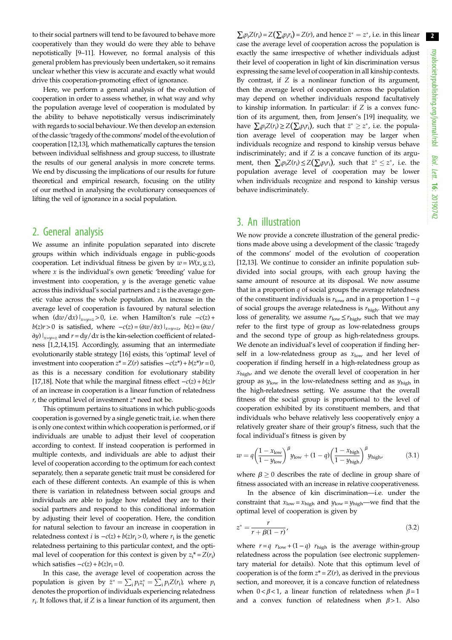2

to their social partners will tend to be favoured to behave more cooperatively than they would do were they able to behave nepotistically [[9](#page-3-0)–[11\]](#page-3-0). However, no formal analysis of this general problem has previously been undertaken, so it remains unclear whether this view is accurate and exactly what would drive this cooperation-promoting effect of ignorance.

Here, we perform a general analysis of the evolution of cooperation in order to assess whether, in what way and why the population average level of cooperation is modulated by the ability to behave nepotistically versus indiscriminately with regards to social behaviour. We then develop an extension of the classic 'tragedy of the commons' model of the evolution of cooperation [[12,13\]](#page-3-0), which mathematically captures the tension between individual selfishness and group success, to illustrate the results of our general analysis in more concrete terms. We end by discussing the implications of our results for future theoretical and empirical research, focusing on the utility of our method in analysing the evolutionary consequences of lifting the veil of ignorance in a social population.

# 2. General analysis

We assume an infinite population separated into discrete groups within which individuals engage in public-goods cooperation. Let individual fitness be given by  $w = W(x, y, z)$ , where  $x$  is the individual's own genetic 'breeding' value for investment into cooperation,  $y$  is the average genetic value across this individual's social partners and z is the average genetic value across the whole population. An increase in the average level of cooperation is favoured by natural selection when  $(\frac{dw}{dx})|_{x=y=z} > 0$ , i.e. when Hamilton's rule  $-c(z)$  +  $b(z)r > 0$  is satisfied, where  $-c(z) = (\partial w/\partial x)\big|_{x=y=z}$ ,  $b(z) = (\partial w/\partial x)^2$  $\partial y$ )  $\vert_{x=y=z}$  and  $r = dy/dx$  is the kin-selection coefficient of relatedness [\[1](#page-3-0),[2,14,15\]](#page-3-0). Accordingly, assuming that an intermediate evolutionarily stable strategy [\[16](#page-3-0)] exists, this 'optimal' level of investment into cooperation  $z^* = Z(r)$  satisfies  $-c(z^*) + b(z^*)r = 0$ , as this is a necessary condition for evolutionary stability [\[17,18](#page-3-0)]. Note that while the marginal fitness effect  $-c(z) + b(z)r$ of an increase in cooperation is a linear function of relatedness  $r$ , the optimal level of investment  $z^*$  need not be.

This optimum pertains to situations in which public-goods cooperation is governed by a single genetic trait, i.e. when there is only one context within which cooperation is performed, or if individuals are unable to adjust their level of cooperation according to context. If instead cooperation is performed in multiple contexts, and individuals are able to adjust their level of cooperation according to the optimum for each context separately, then a separate genetic trait must be considered for each of these different contexts. An example of this is when there is variation in relatedness between social groups and individuals are able to judge how related they are to their social partners and respond to this conditional information by adjusting their level of cooperation. Here, the condition for natural selection to favour an increase in cooperation in relatedness context *i* is  $-c(z) + b(z)r_i > 0$ , where  $r_i$  is the genetic relatedness pertaining to this particular context, and the optimal level of cooperation for this context is given by  $z_i^* = Z(r_i)$ which satisfies  $-c(z) + b(z)r_i = 0$ .

In this case, the average level of cooperation across the population is given by  $\bar{z}^* = \sum_i p_i z_i^* = \sum_i p_i Z(r_i)$ , where  $p_i$ denotes the proportion of individuals experiencing relatedness  $r_i$ . It follows that, if Z is a linear function of its argument, then  $\sum_i p_i Z(r_i) = Z(\sum_i p_i r_i) = Z(r)$ , and hence  $\bar{z}^* = z^*$ , i.e. in this linear case the average level of cooperation across the population is exactly the same irrespective of whether individuals adjust their level of cooperation in light of kin discrimination versus expressing the same level of cooperation in all kinship contexts. By contrast, if  $Z$  is a nonlinear function of its argument, then the average level of cooperation across the population may depend on whether individuals respond facultatively to kinship information. In particular: if  $Z$  is a convex function of its argument, then, from Jensen's [[19\]](#page-3-0) inequality, we have  $\sum_{i} p_i Z(r_i) \geq Z(\sum_{i} p_i r_i)$ , such that  $\bar{z}^* \geq z^*$ , i.e. the population average level of cooperation may be larger when individuals recognize and respond to kinship versus behave indiscriminately; and if  $Z$  is a concave function of its argument, then  $\sum_i p_i Z(r_i) \leq Z(\sum_i p_i r_i)$ , such that  $\bar{z}^* \leq z^*$ , i.e. the population average level of cooperation may be lower when individuals recognize and respond to kinship versus behave indiscriminately.

### 3. An illustration

We now provide a concrete illustration of the general predictions made above using a development of the classic 'tragedy of the commons' model of the evolution of cooperation [[12,13\]](#page-3-0). We continue to consider an infinite population subdivided into social groups, with each group having the same amount of resource at its disposal. We now assume that in a proportion  $q$  of social groups the average relatedness of the constituent individuals is  $r_{\text{low}}$  and in a proportion  $1-q$ of social groups the average relatedness is  $r_{\text{high}}$ . Without any loss of generality, we assume  $r_{\text{low}} \le r_{\text{high}}$ , such that we may refer to the first type of group as low-relatedness groups and the second type of group as high-relatedness groups. We denote an individual's level of cooperation if finding herself in a low-relatedness group as  $x_{\text{low}}$  and her level of cooperation if finding herself in a high-relatedness group as  $x_{\text{high}}$ , and we denote the overall level of cooperation in her group as  $y_{\text{low}}$  in the low-relatedness setting and as  $y_{\text{high}}$  in the high-relatedness setting. We assume that the overall fitness of the social group is proportional to the level of cooperation exhibited by its constituent members, and that individuals who behave relatively less cooperatively enjoy a relatively greater share of their group's fitness, such that the focal individual's fitness is given by

$$
w = q \left(\frac{1 - x_{\text{low}}}{1 - y_{\text{low}}}\right)^{\beta} y_{\text{low}} + (1 - q) \left(\frac{1 - x_{\text{high}}}{1 - y_{\text{high}}}\right)^{\beta} y_{\text{high}},
$$
(3.1)

where  $\beta \ge 0$  describes the rate of decline in group share of fitness associated with an increase in relative cooperativeness.

In the absence of kin discrimination—i.e. under the constraint that  $x_{\text{low}} = x_{\text{high}}$  and  $y_{\text{low}} = y_{\text{high}}$ —we find that the optimal level of cooperation is given by

$$
z^* = \frac{r}{r + \beta(1 - r)},
$$
\n(3.2)

where  $r = q r_{\text{low}} + (1 - q) r_{\text{high}}$  is the average within-group relatedness across the population (see electronic supplementary material for details). Note that this optimum level of cooperation is of the form  $z^* = Z(r)$ , as derived in the previous section, and moreover, it is a concave function of relatedness when  $0 < \beta < 1$ , a linear function of relatedness when  $\beta = 1$ and a convex function of relatedness when  $\beta > 1$ . Also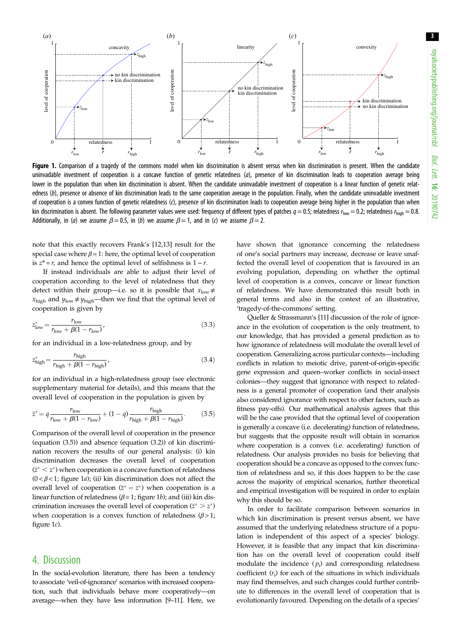3



Figure 1. Comparison of a tragedy of the commons model when kin discrimination is absent versus when kin discrimination is present. When the candidate uninvadable investment of cooperation is a concave function of genetic relatedness (a), presence of kin discrimination leads to cooperation average being lower in the population than when kin discrimination is absent. When the candidate uninvadable investment of cooperation is a linear function of genetic relatedness (b), presence or absence of kin discrimination leads to the same cooperation average in the population. Finally, when the candidate uninvadable investment of cooperation is a convex function of genetic relatedness (c), presence of kin discrimination leads to cooperation average being higher in the population than when kin discrimination is absent. The following parameter values were used: frequency of different types of patches  $q = 0.5$ ; relatedness  $r_{\text{low}} = 0.2$ ; relatedness  $r_{\text{high}} = 0.8$ . Additionally, in (a) we assume  $\beta = 0.5$ , in (b) we assume  $\beta = 1$ , and in (c) we assume  $\beta = 2$ .

note that this exactly recovers Frank's [\[12](#page-3-0),[13\]](#page-3-0) result for the special case where  $\beta = 1$ : here, the optimal level of cooperation is  $z^* = r$ , and hence the optimal level of selfishness is  $1 - r$ .

If instead individuals are able to adjust their level of cooperation according to the level of relatedness that they detect within their group—i.e. so it is possible that  $x_{\text{low}} \neq$  $x_{\text{high}}$  and  $y_{\text{low}} \neq y_{\text{high}}$ —then we find that the optimal level of cooperation is given by

$$
z_{\text{low}}^{*} = \frac{r_{\text{low}}}{r_{\text{low}} + \beta(1 - r_{\text{low}})}\tag{3.3}
$$

for an individual in a low-relatedness group, and by

$$
z_{\rm high}^{*} = \frac{r_{\rm high}}{r_{\rm high} + \beta(1 - r_{\rm high})},
$$
\n(3.4)

for an individual in a high-relatedness group (see electronic supplementary material for details), and this means that the overall level of cooperation in the population is given by

$$
\bar{z}^* = q \frac{r_{\text{low}}}{r_{\text{low}} + \beta(1 - r_{\text{low}})} + (1 - q) \frac{r_{\text{high}}}{r_{\text{high}} + \beta(1 - r_{\text{high}})}.
$$
(3.5)

Comparison of the overall level of cooperation in the presence (equation (3.5)) and absence (equation (3.2)) of kin discrimination recovers the results of our general analysis: (i) kin discrimination decreases the overall level of cooperation  $(z^* < z^*)$  when cooperation is a concave function of relatedness  $(0 < \beta < 1$ ; figure 1*a*); (ii) kin discrimination does not affect the overall level of cooperation  $(\bar{z}^* = z^*)$  when cooperation is a linear function of relatedness ( $\beta$  = 1; figure 1b); and (iii) kin discrimination increases the overall level of cooperation ( $\overline{z}^* > z^*$ ) when cooperation is a convex function of relatedness  $(\beta > 1)$ ; figure 1c).

### 4. Discussion

In the social-evolution literature, there has been a tendency to associate 'veil-of-ignorance' scenarios with increased cooperation, such that individuals behave more cooperatively—on average—when they have less information [[9](#page-3-0)–[11](#page-3-0)]. Here, we have shown that ignorance concerning the relatedness of one's social partners may increase, decrease or leave unaffected the overall level of cooperation that is favoured in an evolving population, depending on whether the optimal level of cooperation is a convex, concave or linear function of relatedness. We have demonstrated this result both in general terms and also in the context of an illustrative, 'tragedy-of-the-commons' setting.

Queller & Strassmann's [[11](#page-3-0)] discussion of the role of ignorance in the evolution of cooperation is the only treatment, to our knowledge, that has provided a general prediction as to how ignorance of relatedness will modulate the overall level of cooperation. Generalizing across particular contexts—including conflicts in relation to meiotic drive, parent-of-origin-specific gene expression and queen–worker conflicts in social-insect colonies—they suggest that ignorance with respect to relatedness is a general promoter of cooperation (and their analysis also considered ignorance with respect to other factors, such as fitness pay-offs). Our mathematical analysis agrees that this will be the case provided that the optimal level of cooperation is generally a concave (i.e. decelerating) function of relatedness, but suggests that the opposite result will obtain in scenarios where cooperation is a convex (i.e. accelerating) function of relatedness. Our analysis provides no basis for believing that cooperation should be a concave as opposed to the convex function of relatedness and so, if this does happen to be the case across the majority of empirical scenarios, further theoretical and empirical investigation will be required in order to explain why this should be so.

In order to facilitate comparison between scenarios in which kin discrimination is present versus absent, we have assumed that the underlying relatedness structure of a population is independent of this aspect of a species' biology. However, it is feasible that any impact that kin discrimination has on the overall level of cooperation could itself modulate the incidence  $(p_i)$  and corresponding relatedness coefficient  $(r_i)$  for each of the situations in which individuals may find themselves, and such changes could further contribute to differences in the overall level of cooperation that is evolutionarily favoured. Depending on the details of a species'